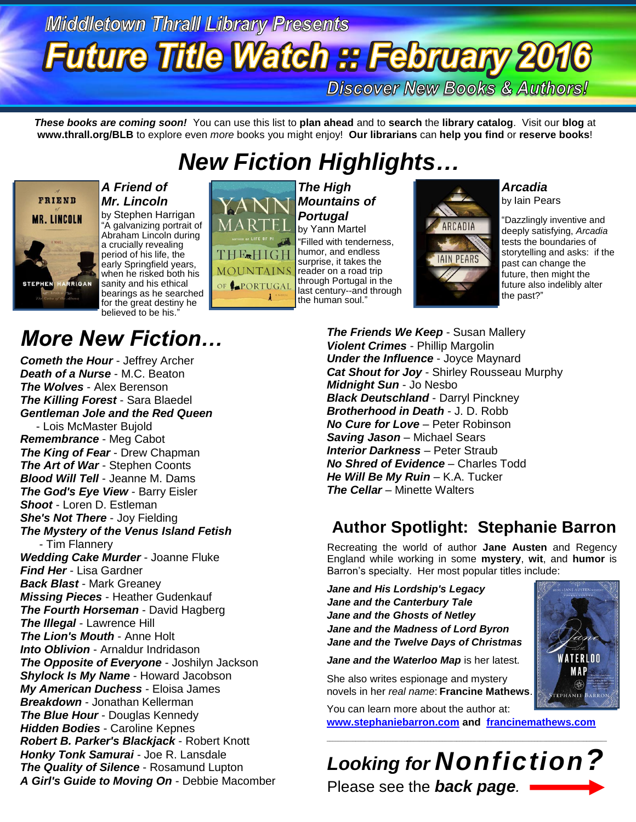# **Middletown Thrall Library Presents Future Title Watch :: February 2016**

**Discover New Books & Authors!** 

*These books are coming soon!* You can use this list to **plan ahead** and to **search** the **library catalog**. Visit our **blog** at **www.thrall.org/BLB** to explore even *more* books you might enjoy! **Our librarians** can **help you find** or **reserve books**!

## *New Fiction Highlights…*



*Mr. Lincoln* by Stephen Harrigan "A galvanizing portrait of Abraham Lincoln during a crucially revealing period of his life, the early Springfield years, when he risked both his sanity and his ethical bearings as he searched for the great destiny he believed to be his.'

*A Friend of*

## *More New Fiction…*

*Cometh the Hour* - Jeffrey Archer *Death of a Nurse* - M.C. Beaton *The Wolves* - Alex Berenson *The Killing Forest* - Sara Blaedel *Gentleman Jole and the Red Queen* - Lois McMaster Bujold *Remembrance* - Meg Cabot *The King of Fear* - Drew Chapman *The Art of War* - Stephen Coonts *Blood Will Tell* - Jeanne M. Dams *The God's Eye View* - Barry Eisler *Shoot* - Loren D. Estleman *She's Not There* - Joy Fielding *The Mystery of the Venus Island Fetish* - Tim Flannery *Wedding Cake Murder* - Joanne Fluke *Find Her* - Lisa Gardner *Back Blast* - Mark Greaney *Missing Pieces* - Heather Gudenkauf *The Fourth Horseman* - David Hagberg *The Illegal* - Lawrence Hill *The Lion's Mouth* - Anne Holt *Into Oblivion* - Arnaldur Indridason *The Opposite of Everyone* - Joshilyn Jackson *Shylock Is My Name* - Howard Jacobson *My American Duchess* - Eloisa James *Breakdown* - Jonathan Kellerman *The Blue Hour* - Douglas Kennedy *Hidden Bodies* - Caroline Kepnes *Robert B. Parker's Blackjack* - Robert Knott *Honky Tonk Samurai* - Joe R. Lansdale *The Quality of Silence* - Rosamund Lupton *A Girl's Guide to Moving On* - Debbie Macomber



*The High Mountains of Portugal* by Yann Martel "Filled with tenderness, humor, and endless surprise, it takes the reader on a road trip through Portugal in the last century--and through the human soul."

**ARCADIA** IN PFAR!

*Arcadia* by Iain Pears

"Dazzlingly inventive and deeply satisfying, *Arcadia*  tests the boundaries of storytelling and asks: if the past can change the future, then might the future also indelibly alter the past?"

*The Friends We Keep* - Susan Mallery *Violent Crimes* - Phillip Margolin *Under the Influence* - Joyce Maynard *Cat Shout for Joy* - Shirley Rousseau Murphy *Midnight Sun* - Jo Nesbo *Black Deutschland* - Darryl Pinckney *Brotherhood in Death* - J. D. Robb *No Cure for Love* – Peter Robinson **Saving Jason** – Michael Sears **Interior Darkness** - Peter Straub *No Shred of Evidence* – Charles Todd *He Will Be My Ruin - K.A. Tucker The Cellar – Minette Walters* 

### **Author Spotlight: Stephanie Barron**

Recreating the world of author **Jane Austen** and Regency England while working in some **mystery**, **wit**, and **humor** is Barron's specialty. Her most popular titles include:

*Jane and His Lordship's Legacy Jane and the Canterbury Tale Jane and the Ghosts of Netley Jane and the Madness of Lord Byron Jane and the Twelve Days of Christmas*

*Jane and the Waterloo Map* is her latest*.*

She also writes espionage and mystery novels in her *real name*: **Francine Mathews**.

You can learn more about the author at:

**[www.stephaniebarron.com](http://www.stephaniebarron.com/) and [francinemathews.com](http://www.francinemathews.com/)**